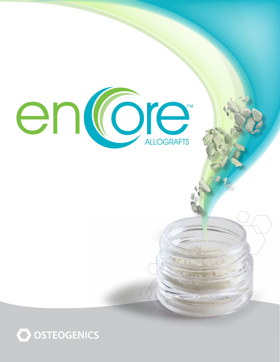

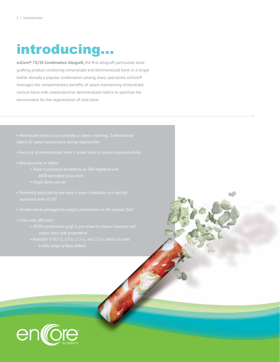# introducing...

**enCore® 70/30 Combination Allograft**, the first allograft particulate bone grafting product combining mineralized and demineralized bone in a single bottle. Already a popular combination among many specialists, enCore® leverages the complementary benefits of space-maintaining mineralized cortical bone with osteoinductive demineralized matrix to optimize the environment for the regeneration of vital bone.

- 
- -
	-
- 
- 
- - *reduce chair-side preparation*
	-

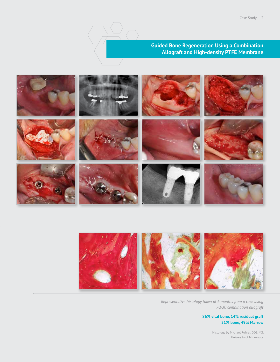

**Guided Bone Regeneration Using a Combination Allograft and High-density PTFE Membrane**





*Representative histology taken at 6 months from a case using 70/30 combination allograft*

### **86% vital bone, 14% residual graft 51% bone, 49% Marrow**

Histology by Michael Rohrer, DDS, MS, University of Minnesota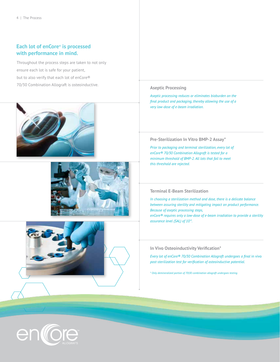# **Each lot of enCore® is processed with performance in mind.**

Throughout the process steps are taken to not only ensure each lot is safe for your patient, but to also verify that each lot of enCore® 70/30 Combination Allograft is osteoinductive. **Aseptic Processing**







*Aseptic processing reduces or eliminates bioburden on the final product and packaging, thereby allowing the use of a very low-dose of e-beam irradiation.*

#### **Pre-Sterilization In Vitro BMP-2 Assay\***

*Prior to packaging and terminal sterilization, every lot of enCore® 70/30 Combination Allograft is tested for a minimum threshold of BMP-2. All lots that fail to meet this threshold are rejected.*

### **Terminal E-Beam Sterilization**

*In choosing a sterilization method and dose, there is a delicate balance between assuring sterility and mitigating impact on product performance. Because of aseptic processing steps, enCore® requires only a low-dose of e-beam irradiation to provide a sterility assurance level (SAL) of 10-6.*

#### **In Vivo Osteoinductivity Verification\***

*Every lot of enCore<sup>®</sup> 70/30 Combination Allograft undergoes a final in vivo post-sterilization test for verification of osteoinductive potential.*

*\* Only demineralized portion of 70|30 combination allograft undergoes testing.*

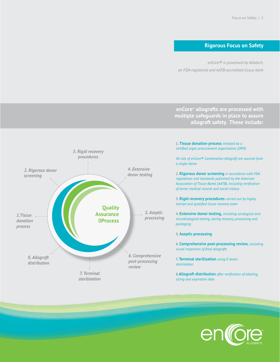# **Rigorous Focus on Safety**

*enCore® is processed by Allotech, an FDA-registered and AATB-accredited tissue bank*

**enCore® allografts are processed with multiple safeguards in place to assure allograft safety. These include:**



**1. Tissue donation process** *initiated by a certified organ procurement organization (OPO)*

*All lots of enCore® Combination Allograft are sourced from a single donor*

**2. Rigorous donor screening** *in accordance with FDA regulations and standards published by the American Association of Tissue Banks (AATB), including verification of donor medical records and social history*

**3. Rigid recovery procedures** *carried out by highly trained and qualified tissue recovery team*

**4. Extensive donor testing,** *including serological and microbiological testing, during recovery, processing and packaging*

#### **5. Aseptic processing**

**6. Comprehensive post-processing review,** *including visual inspection of final allografts*

**7. Terminal sterilization** *using E-beam sterilization*

**8.Allograft distribution** *after verification of labeling, sizing and expiration date*

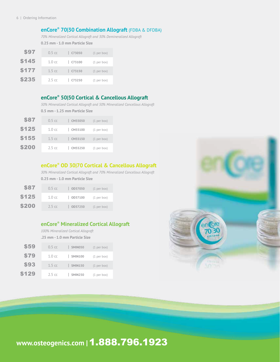# **enCore® 70|30 Combination Allograft** (FDBA & DFDBA)

*70% Mineralized Cortical Allograft and 30% Demineralized Allograft*

**0.25 mm - 1.0 mm Particle Size** 

| \$97         | $0.5 \text{ cc}$  | C73050         | (1 per box) |
|--------------|-------------------|----------------|-------------|
| \$145        | $1.0 \text{ cc}$  | $\vert$ C73100 | (1 per box) |
| \$177        | 1.5 <sub>cc</sub> | C73150         | (1 per box) |
| <b>\$235</b> | 2.5 <sub>cc</sub> | C73250         | (1 per box) |

# **enCore® 50|50 Cortical & Cancellous Allograft**

*50% Mineralized Cortical Allograft and 50% Mineralized Cancellous Allograft* **0.5 mm - 1.25 mm Particle Size**

| \$87         | $0.5 \text{ cc}$  | CM55050 | $(1$ per box) |
|--------------|-------------------|---------|---------------|
| <b>\$125</b> | 1.0 <sub>cc</sub> | CM55100 | (1 per box)   |
| \$155        | $1.5 \text{ cc}$  | CM55150 | $(1$ per box) |
| <b>\$200</b> | $2.5 \text{ cc}$  | CM55250 | (1 per box)   |

# **enCore® OD 30|70 Cortical & Cancellous Allograft**

*30% Mineralized Cortical Allograft and 70% Mineralized Cancellous Allograft* **0.25 mm - 1.0 mm Particle Size**

| \$87  | $0.5 \text{ cc}$ | OD37050 | (1 per box) |
|-------|------------------|---------|-------------|
| \$125 | $1.0 \text{ cc}$ | OD37100 | (1 per box) |
| \$200 | $2.5 \text{ cc}$ | OD37250 | (1 per box) |

# **enCore® Mineralized Cortical Allograft**

*100% Mineralized Cortical Allograft*  **.25 mm - 1.0 mm Particle Size**

| \$59        | $0.5 \text{ cc}$ | <b>SMIN050</b> | $(1$ per box) |
|-------------|------------------|----------------|---------------|
| <b>\$79</b> | $1.0 \text{ cc}$ | <b>SMIN100</b> | (1 per box)   |
| \$93        | $1.5 \text{ cc}$ | <b>SMIN150</b> | $(1$ per box) |
| \$129       | $2.5 \text{ cc}$ | <b>SMIN250</b> | (1 per box)   |



# **www.osteogenics.com |**1.888.796.1923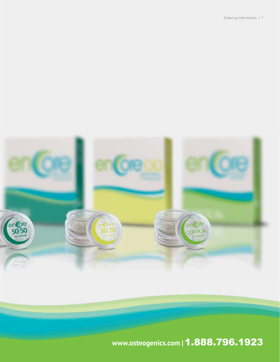Ordering Information | 7



# **www.osteogenics.com |**1.888.796.1923